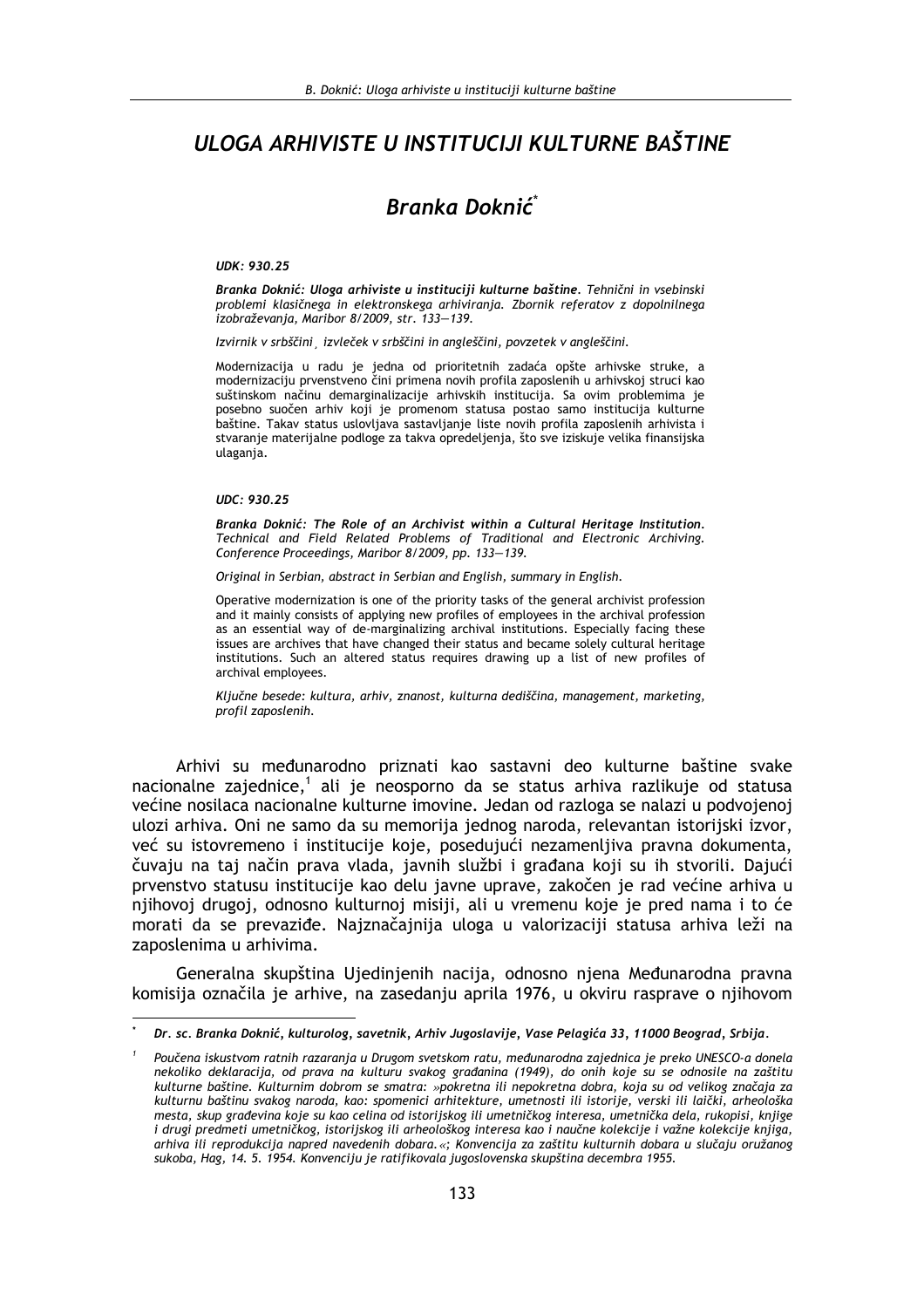# ULOGA ARHIVISTE U INSTITUCIJI KULTURNE BAŠTINE

# Branka Doknić<sup>\*</sup>

#### UDK: 930.25

Branka Doknić: Uloga arhiviste u instituciji kulturne baštine. Tehnični in vsebinski problemi klasičnega in elektronskega arhiviranja. Zbornik referatov z dopolnilnega izobraževanja, Maribor 8/2009, str. 133-139.

Izvirnik v srbščini izvleček v srbščini in angleščini, povzetek v angleščini.

Modernizacija u radu je jedna od prioritetnih zadaća opšte arhivske struke, a modernizaciju prvenstveno čini primena novih profila zaposlenih u arhivskoj struci kao suštinskom načinu demarginalizacije arhivskih institucija. Sa ovim problemima je posebno suočen arhiv koji je promenom statusa postao samo institucija kulturne baštine. Takav status uslovljava sastavljanje liste novih profila zaposlenih arhivista i stvaranje materijalne podloge za takva opredeljenja, što sve iziskuje velika finansijska ulaganja.

#### UDC: 930.25

Branka Doknić: The Role of an Archivist within a Cultural Heritage Institution. Technical and Field Related Problems of Traditional and Electronic Archiving. Conference Proceedings, Maribor 8/2009, pp. 133-139.

Original in Serbian, abstract in Serbian and English, summary in English.

Operative modernization is one of the priority tasks of the general archivist profession and it mainly consists of applying new profiles of employees in the archival profession as an essential way of de-marginalizing archival institutions. Especially facing these issues are archives that have changed their status and became solely cultural heritage institutions. Such an altered status requires drawing up a list of new profiles of archival employees.

Ključne besede: kultura, arhiv, znanost, kulturna dediščina, management, marketing, profil zaposlenih.

Arhivi su međunarodno priznati kao sastavni deo kulturne baštine svake nacionalne zajednice,<sup>1</sup> ali je neosporno da se status arhiva razlikuje od statusa većine nosilaca nacionalne kulturne imovine. Jedan od razloga se nalazi u podvojenoj ulozi arhiva. Oni ne samo da su memorija jednog naroda, relevantan istorijski izvor, već su istovremeno i institucije koje, posedujući nezamenljiva pravna dokumenta, čuvaju na taj način prava vlada, javnih službi i građana koji su ih stvorili. Dajući prvenstvo statusu institucije kao delu javne uprave, zakočen je rad većine arhiva u njihovoj drugoj, odnosno kulturnoj misiji, ali u vremenu koje je pred nama i to će morati da se prevaziđe. Najznačajnija uloga u valorizaciji statusa arhiva leži na zaposlenima u arhivima.

Generalna skupština Ujedinjenih nacija, odnosno njena Međunarodna pravna komisija označila je arhive, na zasedanju aprila 1976, u okviru rasprave o njihovom

Dr. sc. Branka Doknić, kulturolog, savetnik, Arhiv Jugoslavije, Vase Pelagića 33, 11000 Beograd, Srbija,

Poučena iskustvom ratnih razaranja u Drugom svetskom ratu, međunarodna zajednica je preko UNESCO-a donela nekoliko deklaracija, od prava na kulturu svakog građanina (1949), do onih koje su se odnosile na zaštitu kulturne baštine. Kulturnim dobrom se smatra: »pokretna ili nepokretna dobra, koja su od velikog značaja za kulturnu baštinu svakog naroda, kao: spomenici arhitekture, umetnosti ili istorije, verski ili laički, arheološka mesta, skup građevina koje su kao celina od istorijskog ili umetničkog interesa, umetnička dela, rukopisi, knjige i drugi predmeti umetničkog, istorijskog ili arheološkog interesa kao i naučne kolekcije i važne kolekcije knjiga, arhiva ili reprodukcija napred navedenih dobara.«; Konvencija za zaštitu kulturnih dobara u slučaju oružanog sukoba, Hag, 14. 5. 1954. Konvenciju je ratifikovala jugoslovenska skupština decembra 1955.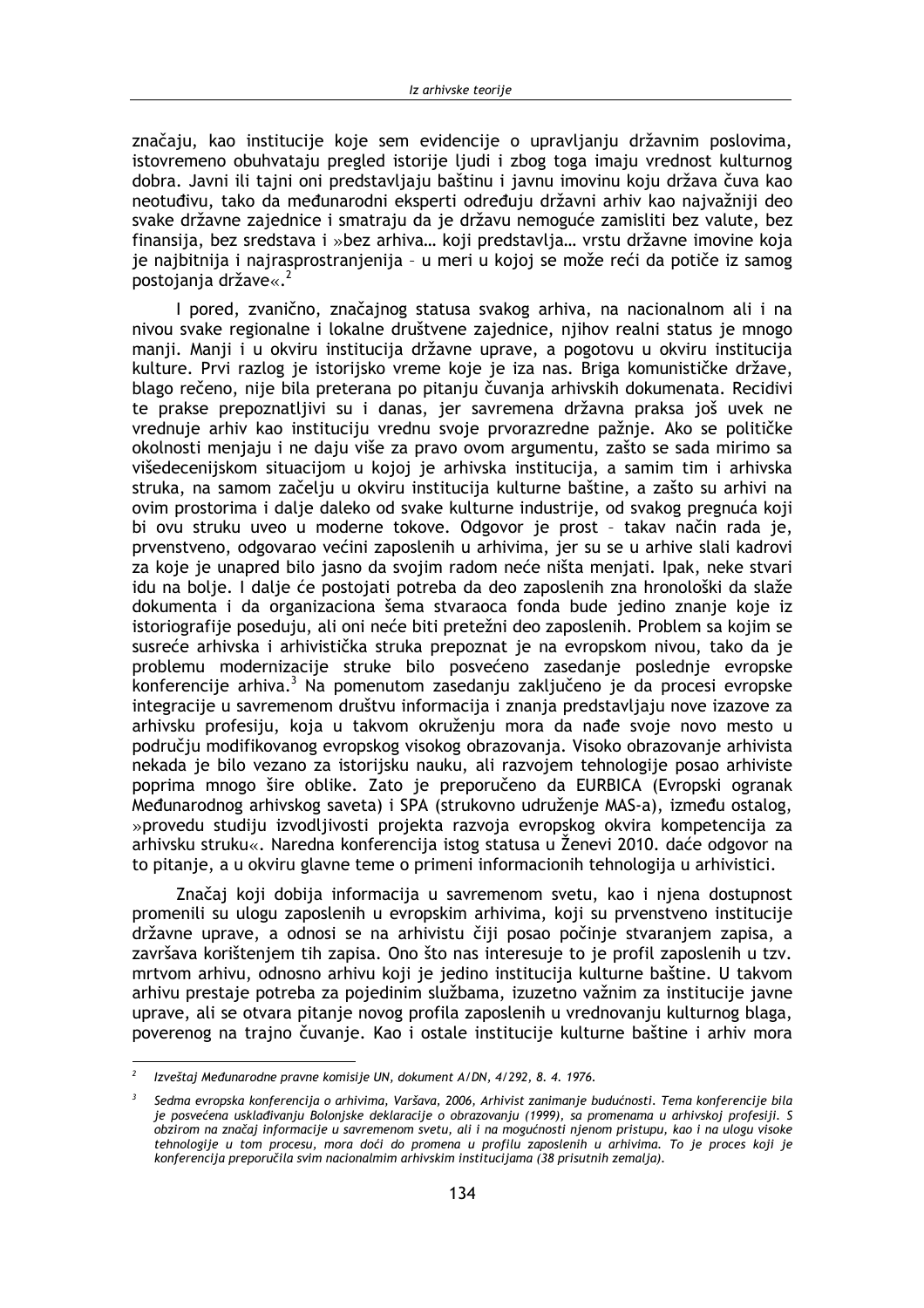značaju, kao institucije koje sem evidencije o upravljanju državnim poslovima, istovremeno obuhvataju pregled istorije ljudi i zbog toga imaju vrednost kulturnog dobra. Javni ili taini oni predstavliaju baštinu i javnu imovinu koju država čuva kao neotuđivu, tako da međunarodni eksperti određuju državni arhiv kao najvažniji deo svake državne zajednice i smatraju da je državu nemoguće zamisliti bez valute, bez finansija, bez sredstava i »bez arhiva... koji predstavlja... vrstu državne imovine koja je najbitnija i najrasprostranjenija - u meri u kojoj se može reći da potiče iz samog postojanja države«.<sup>2</sup>

I pored, zvanično, značajnog statusa svakog arhiva, na nacionalnom ali i na nivou svake regionalne i lokalne društvene zajednice, njihov realni status je mnogo manji. Manji i u okviru institucija državne uprave, a pogotovu u okviru institucija kulture. Prvi razlog je istorijsko vreme koje je iza nas. Briga komunističke države, blago rečeno, nije bila preterana po pitanju čuvanja arhivskih dokumenata. Recidivi te prakse prepoznatljivi su i danas, jer savremena državna praksa još uvek ne vrednuje arhiv kao instituciju vrednu svoje prvorazredne pažnje. Ako se političke okolnosti menjaju i ne daju više za pravo ovom argumentu, zašto se sada mirimo sa višedecenijskom situacijom u kojoj je arhivska institucija, a samim tim i arhivska struka, na samom začelju u okviru institucija kulturne baštine, a zašto su arhivi na ovim prostorima i dalje daleko od svake kulturne industrije, od svakog pregnuća koji bi ovu struku uveo u moderne tokove. Odgovor je prost - takav način rada je, prvenstveno, odgovarao većini zaposlenih u arhivima, jer su se u arhive slali kadrovi za koje je unapred bilo jasno da svojim radom neće ništa menjati. Ipak, neke stvari idu na bolje. I dalje će postojati potreba da deo zaposlenih zna hronološki da slaže dokumenta i da organizaciona šema stvaraoca fonda bude jedino znanje koje iz istoriografije poseduju, ali oni neće biti pretežni deo zaposlenih. Problem sa kojim se susreće arhivska i arhivistička struka prepoznat je na evropskom nivou, tako da je problemu modernizacije struke bilo posvećeno zasedanje poslednje evropske konferencije arhiva.<sup>3</sup> Na pomenutom zasedanju zaključeno je da procesi evropske integracije u savremenom društvu informacija i znanja predstavljaju nove izazove za arhivsku profesiju, koja u takvom okruženju mora da nađe svoje novo mesto u područiu modifikovanog evropskog visokog obrazovania. Visoko obrazovanie arhivista nekada je bilo vezano za istorijsku nauku, ali razvojem tehnologije posao arhiviste poprima mnogo šire oblike. Zato je preporučeno da EURBICA (Evropski ogranak Međunarodnog arhivskog saveta) i SPA (strukovno udruženje MAS-a), između ostalog, »provedu studiju izvodljivosti projekta razvoja evropskog okvira kompetencija za arhivsku struku«. Naredna konferencija istog statusa u Ženevi 2010. daće odgovor na to pitanje, a u okviru glavne teme o primeni informacionih tehnologija u arhivistici.

Značaj koji dobija informacija u savremenom svetu, kao i njena dostupnost promenili su ulogu zaposlenih u evropskim arhivima, koji su prvenstveno institucije državne uprave, a odnosi se na arhivistu čiji posao počinje stvaranjem zapisa, a završava korištenjem tih zapisa. Ono što nas interesuje to je profil zaposlenih u tzv. mrtvom arhivu, odnosno arhivu koji je jedino institucija kulturne baštine. U takvom arhivu prestaje potreba za pojedinim službama, izuzetno važnim za institucije javne uprave, ali se otvara pitanje novog profila zaposlenih u vrednovanju kulturnog blaga, poverenog na trajno čuvanje. Kao i ostale institucije kulturne baštine i arhiv mora

Izveštaj Međunarodne pravne komisije UN, dokument A/DN, 4/292, 8. 4. 1976.

Sedma evropska konferencija o arhivima, Varšava, 2006, Arhivist zanimanje budućnosti. Tema konferenciie bila je posvećena usklađivanju Bolonjske deklaracije o obrazovanju (1999), sa promenama u arhivskoj profesiji. S obzirom na značaj informacije u savremenom svetu, ali i na mogućnosti njenom pristupu, kao i na ulogu visoke tehnologije u tom procesu, mora doći do promena u profilu zaposlenih u arhivima. To je proces koji je konferencija preporučila svim nacionalmim arhivskim institucijama (38 prisutnih zemalja).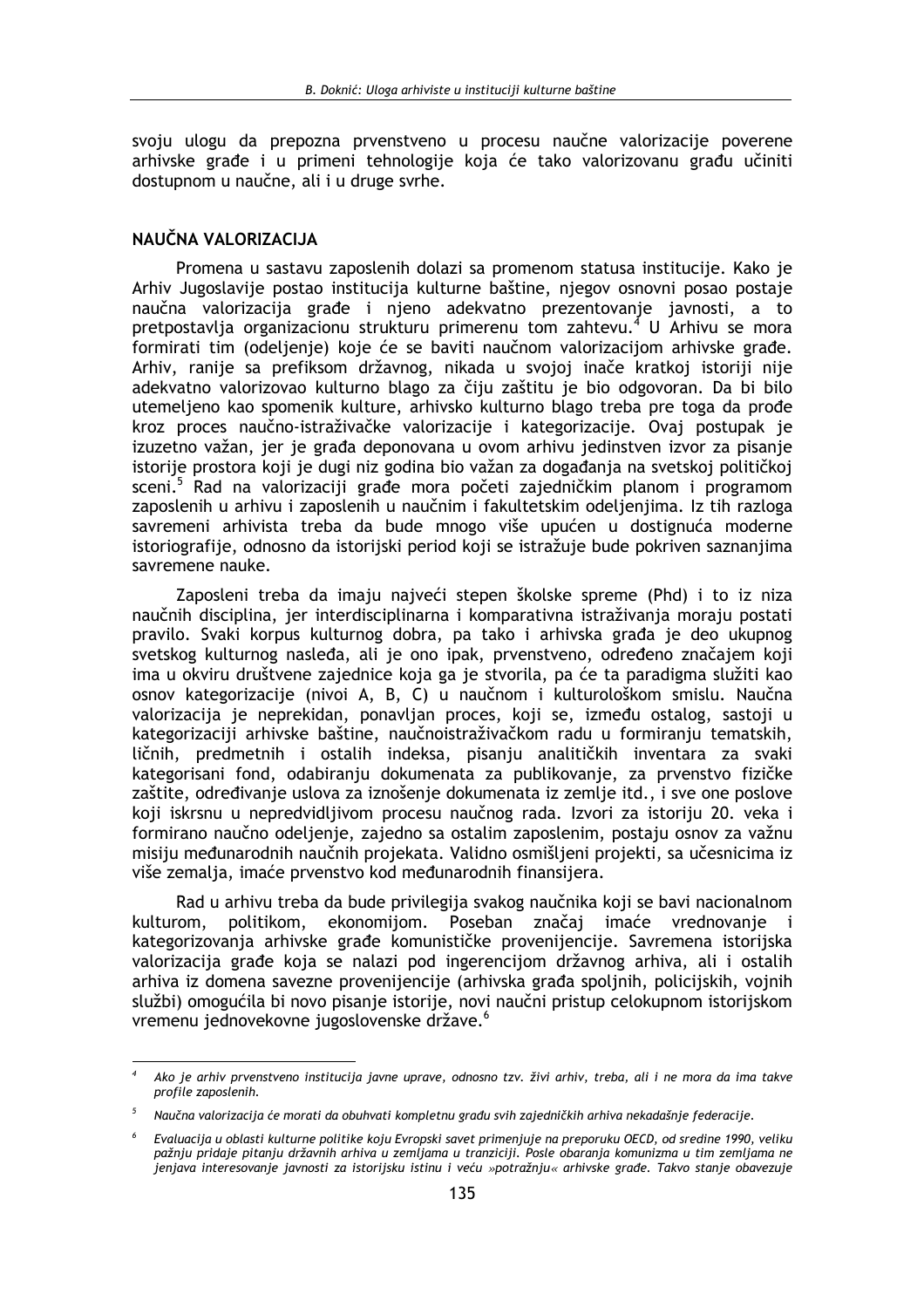svoju ulogu da prepozna prvenstveno u procesu naučne valorizacije poverene arhivske građe i u primeni tehnologije koja će tako valorizovanu građu učiniti dostupnom u naučne, ali i u druge svrhe.

## NAUČNA VALORIZACIJA

Promena u sastavu zaposlenih dolazi sa promenom statusa institucije. Kako je Arhiv Jugoslavije postao institucija kulturne baštine, njegov osnovni posao postaje naučna valorizacija građe i njeno adekvatno prezentovanje javnosti, a to pretpostavlja organizacionu strukturu primerenu tom zahtevu.<sup>4</sup> U Arhivu se mora formirati tim (odeljenje) koje će se baviti naučnom valorizacijom arhivske građe. Arhiv, ranije sa prefiksom državnog, nikada u svojoj inače kratkoj istoriji nije adekvatno valorizovao kulturno blago za čiju zaštitu je bio odgovoran. Da bi bilo utemeljeno kao spomenik kulture, arhivsko kulturno blago treba pre toga da prođe kroz proces naučno-istraživačke valorizacije i kategorizacije. Ovaj postupak je izuzetno važan, jer je građa deponovana u ovom arhivu jedinstven izvor za pisanje istorije prostora koji je dugi niz godina bio važan za događanja na svetskoj političkoj sceni.<sup>5</sup> Rad na valorizaciji građe mora početi zajedničkim planom i programom zaposlenih u arhivu i zaposlenih u naučnim i fakultetskim odeljenjima. Iz tih razloga savremeni arhivista treba da bude mnogo više upućen u dostignuća moderne istoriografije, odnosno da istorijski period koji se istražuje bude pokriven saznanjima savremene nauke.

Zaposleni treba da imaju najveći stepen školske spreme (Phd) i to iz niza naučnih disciplina, jer interdisciplinarna i komparativna istraživanja moraju postati pravilo. Svaki korpus kulturnog dobra, pa tako i arhivska građa je deo ukupnog svetskog kulturnog nasleđa, ali je ono ipak, prvenstveno, određeno značajem koji ima u okviru društvene zajednice koja ga je stvorila, pa će ta paradigma služiti kao osnov kategorizacije (nivoj A, B, C) u naučnom i kulturološkom smislu. Naučna valorizacija je neprekidan, ponavljan proces, koji se, između ostalog, sastoji u kategorizaciji arhivske baštine, naučnoistraživačkom radu u formiranju tematskih, ličnih, predmetnih i ostalih indeksa, pisanju analitičkih inventara za svaki kategorisani fond, odabiranju dokumenata za publikovanje, za prvenstvo fizičke zaštite, određivanje uslova za iznošenje dokumenata iz zemlje itd., i sve one poslove koji iskrsnu u nepredvidljivom procesu naučnog rada. Izvori za istoriju 20. veka i formirano naučno odeljenje, zajedno sa ostalim zaposlenim, postaju osnov za važnu misiju međunarodnih naučnih projekata. Validno osmišljeni projekti, sa učesnicima iz više zemalja, imaće prvenstvo kod međunarodnih finansijera.

Rad u arhivu treba da bude privilegija svakog naučnika koji se bavi nacionalnom politikom, ekonomijom. Poseban značaj imaće vrednovanje kulturom,  $\mathbf{i}$ kategorizovanja arhivske građe komunističke provenijencije. Savremena istorijska valorizacija građe koja se nalazi pod ingerencijom državnog arhiva, ali i ostalih arhiva iz domena savezne provenijencije (arhivska građa spoljnih, policijskih, vojnih službi) omogućila bi novo pisanje istorije, novi naučni pristup celokupnom istorijskom vremenu jednovekovne jugoslovenske države.<sup>6</sup>

Ako je arhiv prvenstveno institucija javne uprave, odnosno tzv. živi arhiv, treba, ali i ne mora da ima takve profile zaposlenih.

Naučna valorizacija će morati da obuhvati kompletnu građu svih zajedničkih arhiva nekadašnje federacije.

 $\epsilon$ Evaluacija u oblasti kulturne politike koju Evropski savet primenjuje na preporuku OECD, od sredine 1990, veliku pažnju pridaje pitanju državnih arhiva u zemljama u tranziciji. Posle obaranja komunizma u tim zemljama ne jenjava interesovanje javnosti za istorijsku istinu i veću »potražnju« arhivske građe. Takvo stanje obavezuje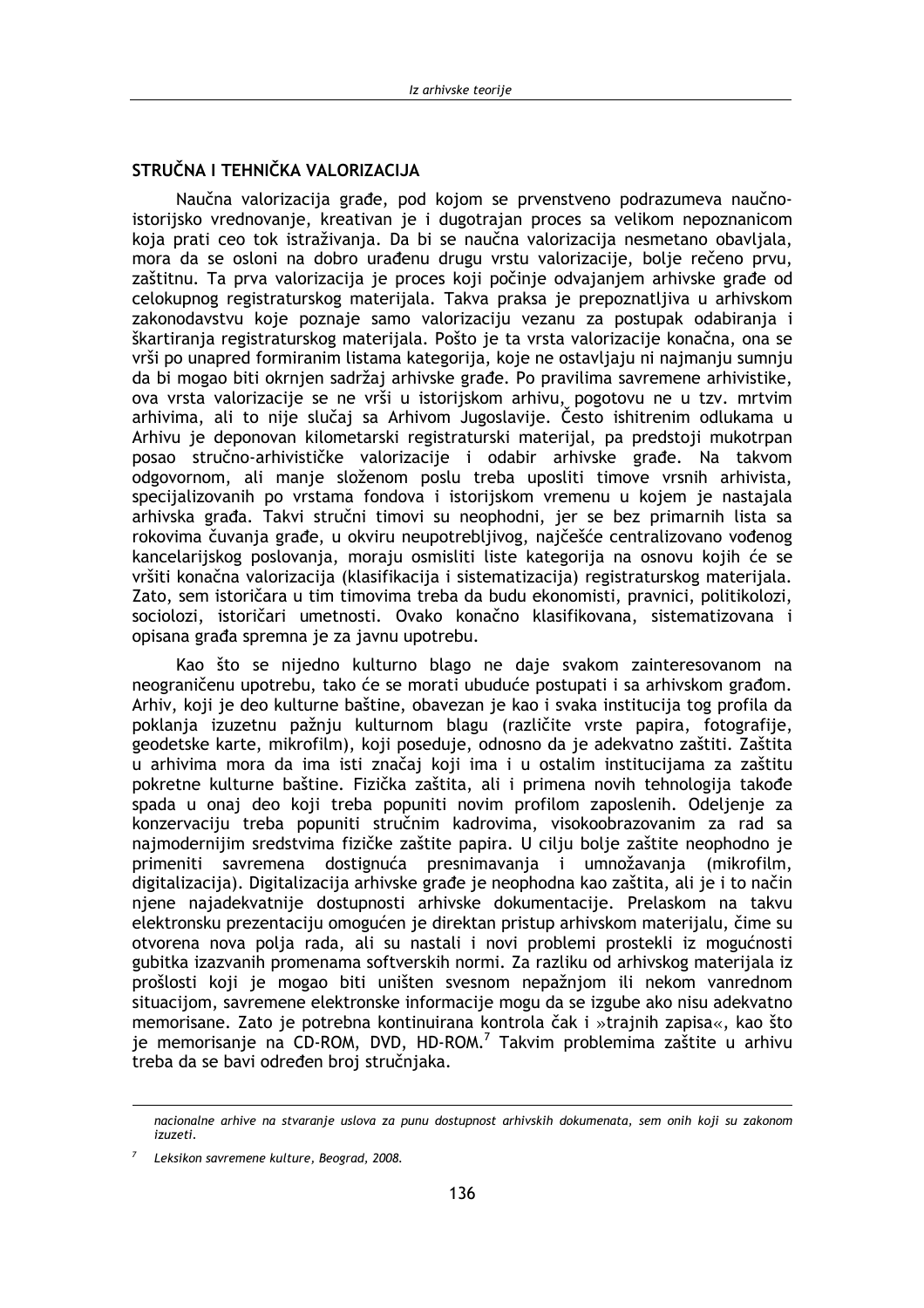# STRUČNA I TEHNIČKA VALORIZACIJA

Naučna valorizacija građe, pod kojom se prvenstveno podrazumeva naučnoistorijsko vrednovanje, kreativan je i dugotrajan proces sa velikom nepoznanicom koja prati ceo tok istraživanja. Da bi se naučna valorizacija nesmetano obavljala, mora da se osloni na dobro urađenu drugu vrstu valorizacije, bolje rečeno prvu, zaštitnu. Ta prva valorizacija je proces koji počinje odvajanjem arhivske građe od celokupnog registraturskog materijala. Takva praksa je prepoznatljiva u arhivskom zakonodavstvu koje poznaje samo valorizaciju vezanu za postupak odabiranja i škartiranja registraturskog materijala. Pošto je ta vrsta valorizacije konačna, ona se vrši po unapred formiranim listama kategorija, koje ne ostavljaju ni najmanju sumnju da bi mogao biti okrnjen sadržaj arhivske građe. Po pravilima savremene arhivistike, ova vrsta valorizacije se ne vrši u istorijskom arhivu, pogotovu ne u tzv. mrtvim arhivima, ali to nije slučaj sa Arhivom Jugoslavije. Često ishitrenim odlukama u Arhivu je deponovan kilometarski registraturski materijal, pa predstoji mukotrpan posao stručno-arhivističke valorizacije i odabir arhivske građe. Na takvom odgovornom, ali manje složenom poslu treba uposliti timove vrsnih arhivista, specijalizovanih po vrstama fondova i istorijskom vremenu u kojem je nastajala arhivska građa. Takvi stručni timovi su neophodni, jer se bez primarnih lista sa rokovima čuvanja građe, u okviru neupotrebljivog, najčešće centralizovano vođenog kancelarijskog poslovanja, moraju osmisliti liste kategorija na osnovu kojih će se vršiti konačna valorizacija (klasifikacija i sistematizacija) registraturskog materijala. Zato, sem istoričara u tim timovima treba da budu ekonomisti, pravnici, politikolozi, sociolozi, istoričari umetnosti. Ovako konačno klasifikovana, sistematizovana i opisana građa spremna je za javnu upotrebu.

Kao što se nijedno kulturno blago ne daje svakom zajnteresovanom na neograničenu upotrebu, tako će se morati ubuduće postupati i sa arhivskom građom. Arhiv, koji je deo kulturne baštine, obavezan je kao i svaka institucija tog profila da poklanja izuzetnu pažnju kulturnom blagu (različite vrste papira, fotografije, geodetske karte, mikrofilm), koji poseduje, odnosno da je adekvatno zaštiti. Zaštita u arhivima mora da ima isti značaj koji ima i u ostalim institucijama za zaštitu pokretne kulturne baštine. Fizička zaštita, ali i primena novih tehnologija takođe spada u onaj deo koji treba popuniti novim profilom zaposlenih. Odeljenje za konzervaciju treba popuniti stručnim kadrovima, visokoobrazovanim za rad sa najmodernijim sredstvima fizičke zaštite papira. U cilju bolje zaštite neophodno je primeniti savremena dostignuća presnimavanja i umnožavanja (mikrofilm, digitalizacija). Digitalizacija arhivske građe je neophodna kao zaštita, ali je i to način njene najadekvatnije dostupnosti arhivske dokumentacije. Prelaskom na takvu elektronsku prezentaciju omogućen je direktan pristup arhivskom materijalu, čime su otvorena nova polja rada, ali su nastali i novi problemi prostekli iz mogućnosti gubitka izazvanih promenama softverskih normi. Za razliku od arhivskog materijala iz prošlosti koji je mogao biti uništen svesnom nepažnjom ili nekom vanrednom situacijom, savremene elektronske informacije mogu da se izgube ako nisu adekvatno memorisane. Zato je potrebna kontinuirana kontrola čak i »trajnih zapisa«, kao što je memorisanje na CD-ROM, DVD, HD-ROM.<sup>7</sup> Takvim problemima zaštite u arhivu treba da se bavi određen broj stručnjaka.

nacionalne arhive na stvaranje uslova za punu dostupnost arhivskih dokumenata, sem onih koji su zakonom izuzeti

Leksikon savremene kulture, Beograd, 2008.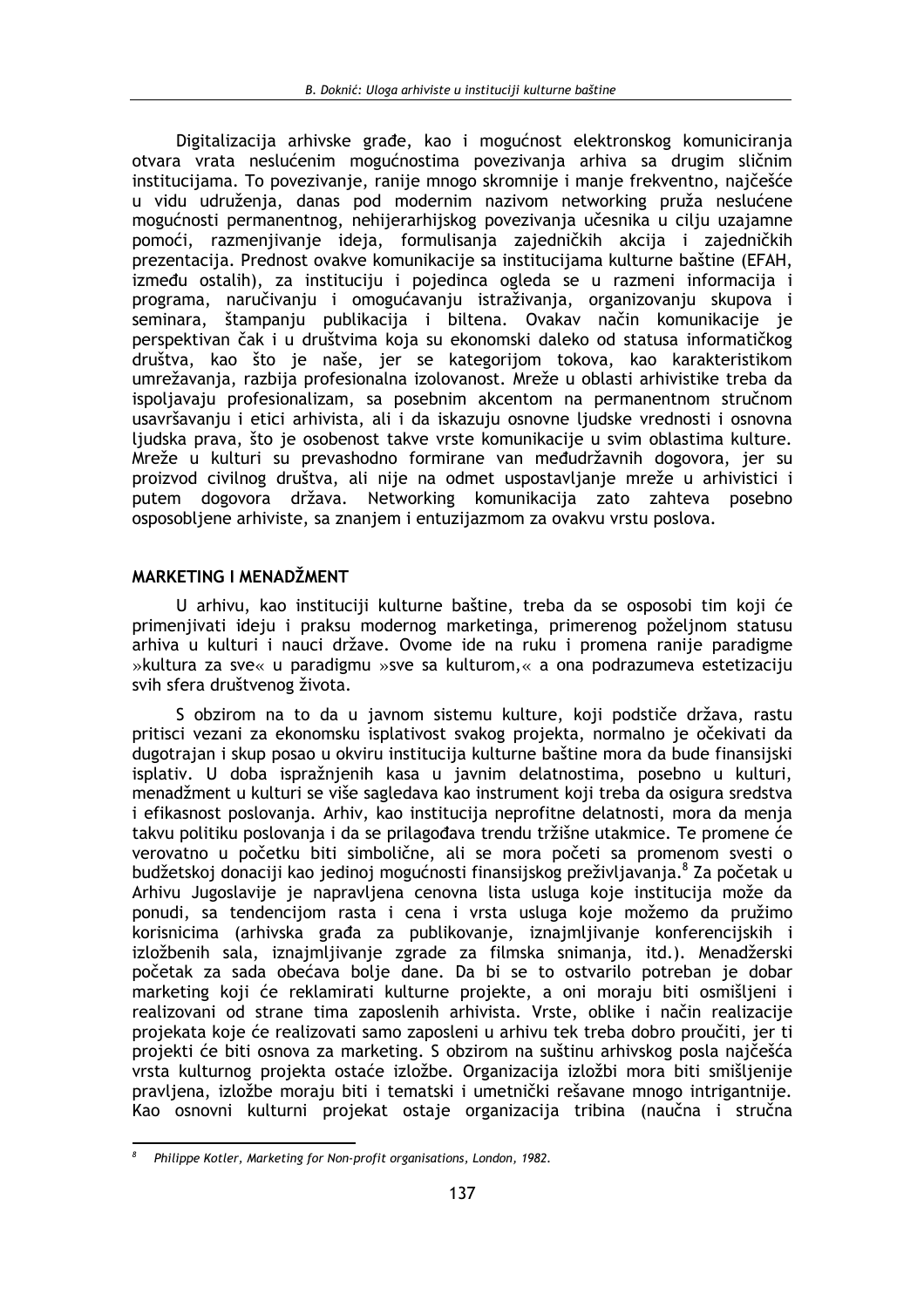Digitalizacija arhivske građe, kao i mogućnost elektronskog komuniciranja otvara vrata neslućenim mogućnostima povezivanja arhiva sa drugim sličnim institucijama. To povezivanje, ranije mnogo skromnije i manje frekventno, najčešće u vidu udruženja, danas pod modernim nazivom networking pruža neslućene mogućnosti permanentnog, nehijerarhijskog povezivanja učesnika u cilju uzajamne pomoći, razmenjivanje ideja, formulisanja zajedničkih akcija i zajedničkih prezentacija. Prednost ovakve komunikacije sa institucijama kulturne baštine (EFAH, između ostalih), za instituciju i pojedinca ogleda se u razmeni informacija i programa, naručivanju i omogućavanju istraživanja, organizovanju skupova i seminara, štampanju publikacija i biltena. Ovakav način komunikacije je perspektivan čak i u društvima koja su ekonomski daleko od statusa informatičkog društva, kao što je naše, jer se kategorijom tokova, kao karakteristikom umrežavanja, razbija profesionalna izolovanost. Mreže u oblasti arhivistike treba da ispoljavaju profesionalizam, sa posebnim akcentom na permanentnom stručnom usavršavanju i etici arhivista, ali i da iskazuju osnovne ljudske vrednosti i osnovna ljudska prava, što je osobenost takve vrste komunikacije u svim oblastima kulture. Mreže u kulturi su prevashodno formirane van međudržavnih dogovora, jer su proizvod civilnog društva, ali nije na odmet uspostavljanje mreže u arhivistici i putem dogovora država. Networking komunikacija zato zahteva posebno osposobljene arhiviste, sa znanjem i entuzijazmom za ovakvu vrstu poslova.

## MARKETING I MENADŽMENT

U arhivu, kao instituciji kulturne baštine, treba da se osposobi tim koji će primenjivati ideju i praksu modernog marketinga, primerenog poželjnom statusu arhiva u kulturi i nauci države. Ovome ide na ruku i promena ranije paradigme »kultura za sve« u paradigmu »sve sa kulturom,« a ona podrazumeva estetizaciju svih sfera društvenog života.

S obzirom na to da u javnom sistemu kulture, koji podstiče država, rastu pritisci vezani za ekonomsku isplativost svakog projekta, normalno je očekivati da dugotrajan i skup posao u okviru institucija kulturne baštine mora da bude finansijski isplativ. U doba ispražnjenih kasa u javnim delatnostima, posebno u kulturi, menadžment u kulturi se više sagledava kao instrument koji treba da osigura sredstva i efikasnost poslovanja. Arhiv, kao institucija neprofitne delatnosti, mora da menja takvu politiku poslovanja i da se prilagođava trendu tržišne utakmice. Te promene će verovatno u početku biti simbolične, ali se mora početi sa promenom svesti o budžetskoj donaciji kao jedinoj mogućnosti finansijskog preživljavanja.<sup>8</sup> Za početak u Arhivu Jugoslavije je napravljena cenovna lista usluga koje institucija može da ponudi, sa tendencijom rasta i cena i vrsta usluga koje možemo da pružimo korisnicima (arhivska građa za publikovanje, iznajmljivanje konferencijskih i izložbenih sala, iznajmljivanje zgrade za filmska snimanja, itd.). Menadžerski početak za sada obećava bolje dane. Da bi se to ostvarilo potreban je dobar marketing koji će reklamirati kulturne projekte, a oni moraju biti osmišljeni i realizovani od strane tima zaposlenih arhivista. Vrste, oblike i način realizacije projekata koje će realizovati samo zaposleni u arhivu tek treba dobro proučiti, jer ti projekti će biti osnova za marketing. S obzirom na suštinu arhivskog posla najčešća vrsta kulturnog projekta ostaće izložbe. Organizacija izložbi mora biti smišljenije pravljena, izložbe moraju biti i tematski i umetnički rešavane mnogo intrigantnije. Kao osnovni kulturni projekat ostaje organizacija tribina (naučna i stručna

Philippe Kotler, Marketing for Non-profit organisations, London, 1982.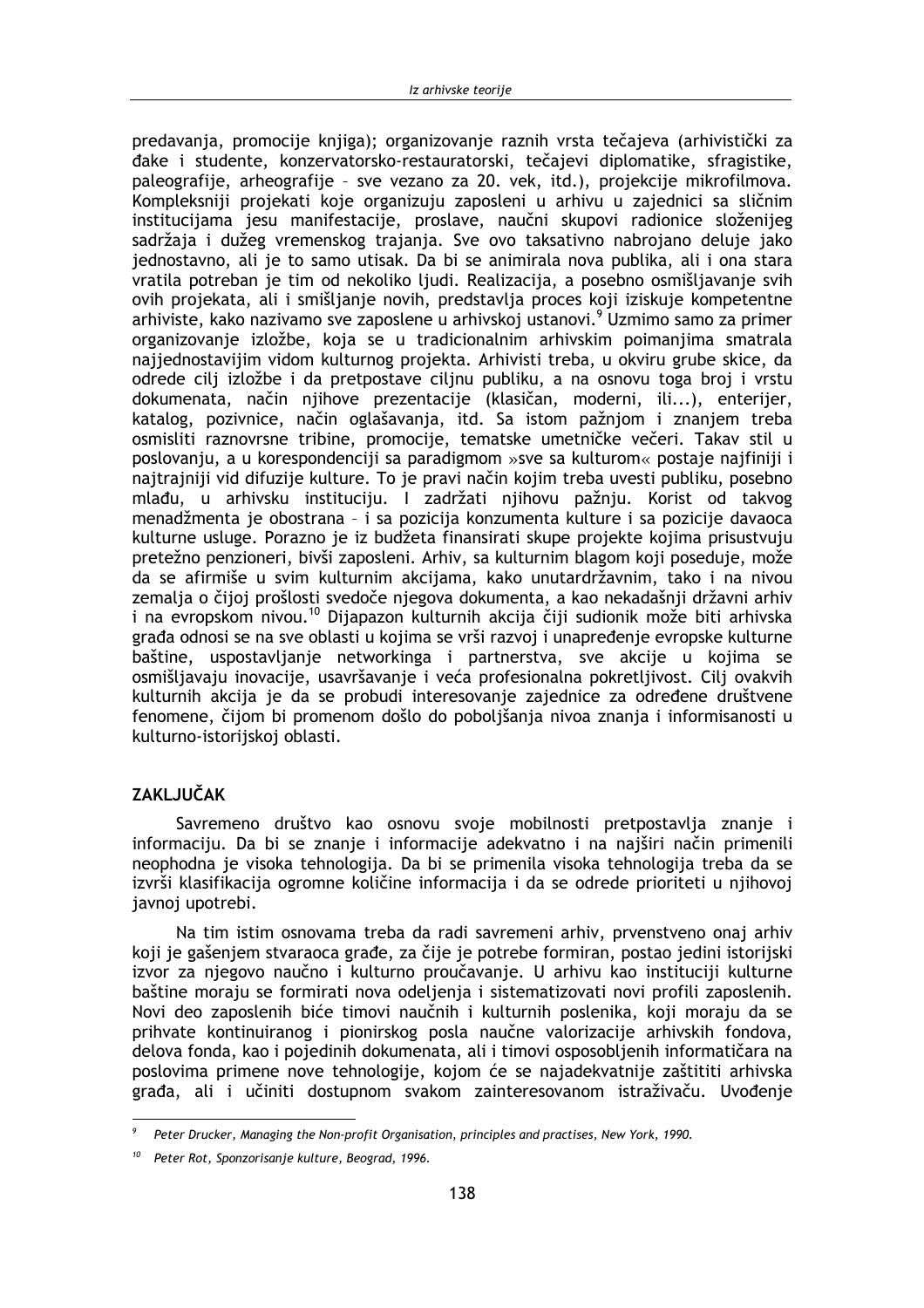predavanja, promocije knjiga); organizovanje raznih vrsta tečaieva (arhivistički za đake i studente, konzervatorsko-restauratorski, tečajevi diplomatike, sfragistike, paleografije, arheografije - sve vezano za 20. vek, itd.), projekcije mikrofilmova. Kompleksniji projekati koje organizuju zaposleni u arhivu u zajednici sa sličnim institucijama jesu manifestacije, proslave, naučni skupovi radionice složenijeg sadržaja i dužeg vremenskog trajanja. Sve ovo taksativno nabrojano deluje jako jednostavno, ali je to samo utisak. Da bi se animirala nova publika, ali i ona stara vratila potreban je tim od nekoliko ljudi. Realizacija, a posebno osmišljavanje svih ovih projekata, ali i smišljanje novih, predstavlja proces koji iziskuje kompetentne arhiviste, kako nazivamo sve zaposlene u arhivskoj ustanovi.<sup>9</sup> Uzmimo samo za primer organizovanje izložbe, koja se u tradicionalnim arhivskim poimanjima smatrala najjednostavijim vidom kulturnog projekta. Arhivisti treba, u okviru grube skice, da odrede cilj izložbe i da pretpostave ciljnu publiku, a na osnovu toga broj i vrstu dokumenata, način njihove prezentacije (klasičan, moderni, ili...), enterijer, katalog, pozivnice, način oglašavanja, itd. Sa istom pažnjom i znanjem treba osmisliti raznovrsne tribine, promocije, tematske umetničke večeri. Takav stil u poslovanju, a u korespondenciji sa paradigmom »sve sa kulturom« postaje najfiniji i najtrajniji vid difuzije kulture. To je pravi način kojim treba uvesti publiku, posebno mlađu, u arhivsku instituciju. I zadržati njihovu pažnju. Korist od takvog menadžmenta je obostrana - i sa pozicija konzumenta kulture i sa pozicije davaoca kulturne usluge. Porazno je iz budžeta finansirati skupe projekte kojima prisustvuju pretežno penzioneri, bivši zaposleni. Arhiv, sa kulturnim blagom koji poseduje, može da se afirmiše u svim kulturnim akcijama, kako unutardržavnim, tako i na nivou zemalja o čijoj prošlosti svedoče njegova dokumenta, a kao nekadašnji državni arhiv i na evropskom nivou.<sup>10</sup> Dijapazon kulturnih akcija čiji sudionik može biti arhivska građa odnosi se na sve oblasti u kojima se vrši razvoj i unapređenje evropske kulturne baštine, uspostavljanje networkinga i partnerstva, sve akcije u kojima se osmišliavaju inovacije, usavršavanje i veća profesionalna pokretlijvost. Cili ovakvih kulturnih akcija je da se probudi interesovanje zajednice za određene društvene fenomene, čijom bi promenom došlo do pobolišanja nivoa znanja i informisanosti u kulturno-istoriiskoi oblasti.

# **ZAKLJUČAK**

Savremeno društvo kao osnovu svoje mobilnosti pretpostavlja znanje i informaciju. Da bi se znanje i informacije adekvatno i na najširi način primenili neophodna je visoka tehnologija. Da bi se primenila visoka tehnologija treba da se izvrši klasifikacija ogromne količine informacija i da se odrede prioriteti u njihovoj javnoj upotrebi.

Na tim istim osnovama treba da radi savremeni arhiv, prvenstveno onaj arhiv koji je gašenjem stvaraoca građe, za čije je potrebe formiran, postao jedini istorijski izvor za njegovo naučno i kulturno proučavanje. U arhivu kao instituciji kulturne baštine moraju se formirati nova odeljenja i sistematizovati novi profili zaposlenih. Novi deo zaposlenih biće timovi naučnih i kulturnih poslenika, koji moraju da se prihvate kontinuiranog i pionirskog posla naučne valorizacije arhivskih fondova, delova fonda, kao i pojedinih dokumenata, ali i timovi osposobljenih informatičara na poslovima primene nove tehnologije, kojom će se najadekvatnije zaštititi arhivska građa, ali i učiniti dostupnom svakom zainteresovanom istraživaču. Uvođenje

Peter Drucker, Managing the Non-profit Organisation, principles and practises, New York, 1990.

Peter Rot, Sponzorisanje kulture, Beograd, 1996.